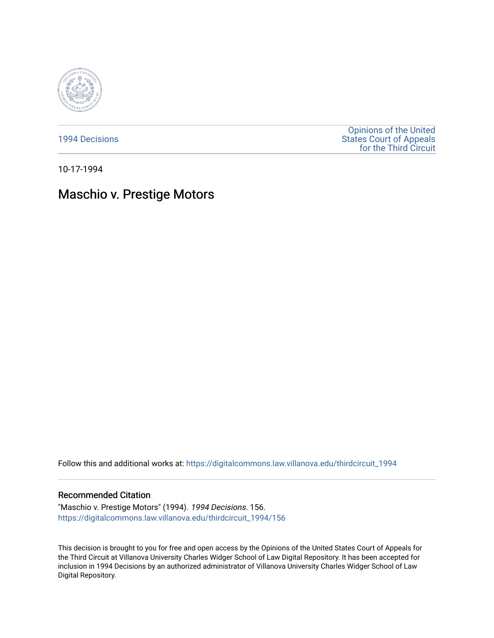

[1994 Decisions](https://digitalcommons.law.villanova.edu/thirdcircuit_1994)

[Opinions of the United](https://digitalcommons.law.villanova.edu/thirdcircuit)  [States Court of Appeals](https://digitalcommons.law.villanova.edu/thirdcircuit)  [for the Third Circuit](https://digitalcommons.law.villanova.edu/thirdcircuit) 

10-17-1994

## Maschio v. Prestige Motors

Follow this and additional works at: [https://digitalcommons.law.villanova.edu/thirdcircuit\\_1994](https://digitalcommons.law.villanova.edu/thirdcircuit_1994?utm_source=digitalcommons.law.villanova.edu%2Fthirdcircuit_1994%2F156&utm_medium=PDF&utm_campaign=PDFCoverPages) 

## Recommended Citation

"Maschio v. Prestige Motors" (1994). 1994 Decisions. 156. [https://digitalcommons.law.villanova.edu/thirdcircuit\\_1994/156](https://digitalcommons.law.villanova.edu/thirdcircuit_1994/156?utm_source=digitalcommons.law.villanova.edu%2Fthirdcircuit_1994%2F156&utm_medium=PDF&utm_campaign=PDFCoverPages)

This decision is brought to you for free and open access by the Opinions of the United States Court of Appeals for the Third Circuit at Villanova University Charles Widger School of Law Digital Repository. It has been accepted for inclusion in 1994 Decisions by an authorized administrator of Villanova University Charles Widger School of Law Digital Repository.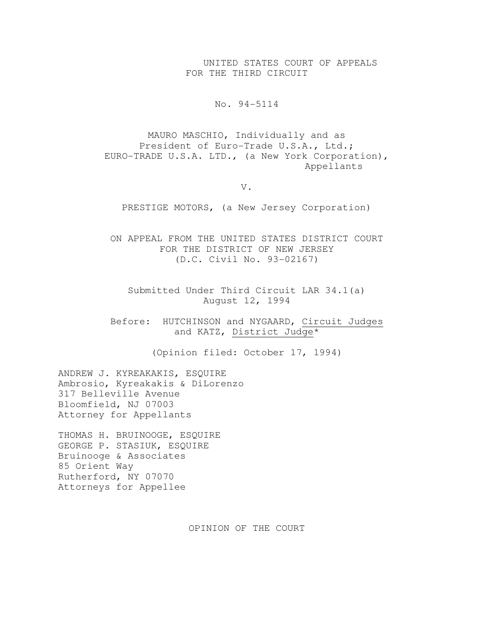UNITED STATES COURT OF APPEALS FOR THE THIRD CIRCUIT

No. 94-5114

MAURO MASCHIO, Individually and as President of Euro-Trade U.S.A., Ltd.; EURO-TRADE U.S.A. LTD., (a New York Corporation), Appellants

V.

PRESTIGE MOTORS, (a New Jersey Corporation)

ON APPEAL FROM THE UNITED STATES DISTRICT COURT FOR THE DISTRICT OF NEW JERSEY (D.C. Civil No. 93-02167)

Submitted Under Third Circuit LAR 34.1(a) August 12, 1994

Before: HUTCHINSON and NYGAARD, Circuit Judges and KATZ, District Judge\*

(Opinion filed: October 17, 1994)

ANDREW J. KYREAKAKIS, ESQUIRE Ambrosio, Kyreakakis & DiLorenzo 317 Belleville Avenue Bloomfield, NJ 07003 Attorney for Appellants

THOMAS H. BRUINOOGE, ESQUIRE GEORGE P. STASIUK, ESQUIRE Bruinooge & Associates 85 Orient Way Rutherford, NY 07070 Attorneys for Appellee

OPINION OF THE COURT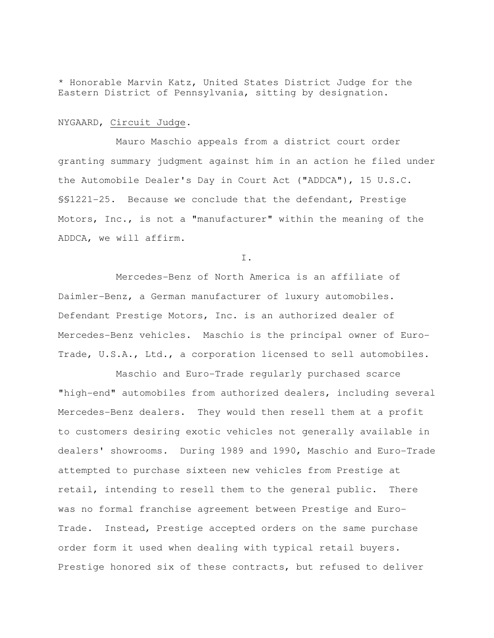\* Honorable Marvin Katz, United States District Judge for the Eastern District of Pennsylvania, sitting by designation.

## NYGAARD, Circuit Judge.

 Mauro Maschio appeals from a district court order granting summary judgment against him in an action he filed under the Automobile Dealer's Day in Court Act ("ADDCA"), 15 U.S.C. §§1221-25. Because we conclude that the defendant, Prestige Motors, Inc., is not a "manufacturer" within the meaning of the ADDCA, we will affirm.

I.

 Mercedes-Benz of North America is an affiliate of Daimler-Benz, a German manufacturer of luxury automobiles. Defendant Prestige Motors, Inc. is an authorized dealer of Mercedes-Benz vehicles. Maschio is the principal owner of Euro-Trade, U.S.A., Ltd., a corporation licensed to sell automobiles.

 Maschio and Euro-Trade regularly purchased scarce "high-end" automobiles from authorized dealers, including several Mercedes-Benz dealers. They would then resell them at a profit to customers desiring exotic vehicles not generally available in dealers' showrooms. During 1989 and 1990, Maschio and Euro-Trade attempted to purchase sixteen new vehicles from Prestige at retail, intending to resell them to the general public. There was no formal franchise agreement between Prestige and Euro-Trade. Instead, Prestige accepted orders on the same purchase order form it used when dealing with typical retail buyers. Prestige honored six of these contracts, but refused to deliver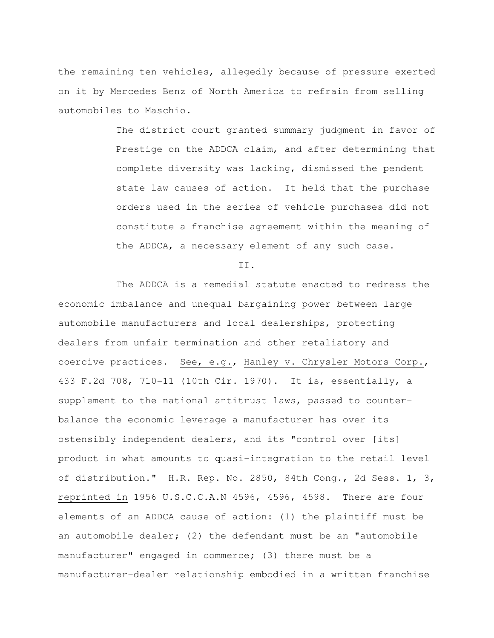the remaining ten vehicles, allegedly because of pressure exerted on it by Mercedes Benz of North America to refrain from selling automobiles to Maschio.

> The district court granted summary judgment in favor of Prestige on the ADDCA claim, and after determining that complete diversity was lacking, dismissed the pendent state law causes of action. It held that the purchase orders used in the series of vehicle purchases did not constitute a franchise agreement within the meaning of the ADDCA, a necessary element of any such case.

II.

 The ADDCA is a remedial statute enacted to redress the economic imbalance and unequal bargaining power between large automobile manufacturers and local dealerships, protecting dealers from unfair termination and other retaliatory and coercive practices. See, e.g., Hanley v. Chrysler Motors Corp., 433 F.2d 708, 710-11 (10th Cir. 1970). It is, essentially, a supplement to the national antitrust laws, passed to counterbalance the economic leverage a manufacturer has over its ostensibly independent dealers, and its "control over [its] product in what amounts to quasi-integration to the retail level of distribution." H.R. Rep. No. 2850, 84th Cong., 2d Sess. 1, 3, reprinted in 1956 U.S.C.C.A.N 4596, 4596, 4598. There are four elements of an ADDCA cause of action: (1) the plaintiff must be an automobile dealer; (2) the defendant must be an "automobile manufacturer" engaged in commerce; (3) there must be a manufacturer-dealer relationship embodied in a written franchise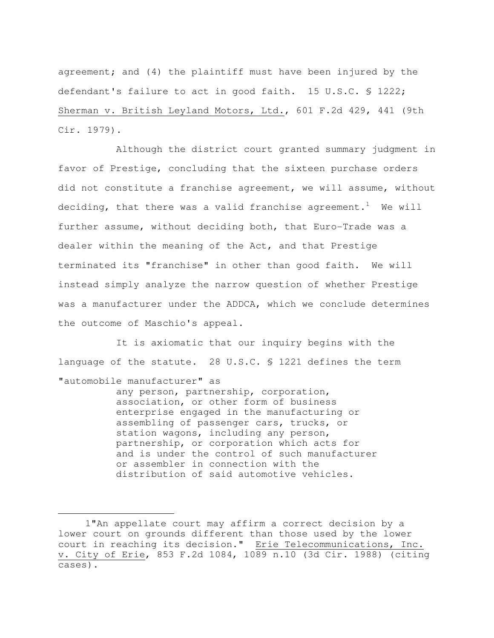agreement; and (4) the plaintiff must have been injured by the defendant's failure to act in good faith. 15 U.S.C. § 1222; Sherman v. British Leyland Motors, Ltd., 601 F.2d 429, 441 (9th Cir. 1979).

 Although the district court granted summary judgment in favor of Prestige, concluding that the sixteen purchase orders did not constitute a franchise agreement, we will assume, without deciding, that there was a valid franchise agreement.<sup>1</sup> We will further assume, without deciding both, that Euro-Trade was a dealer within the meaning of the Act, and that Prestige terminated its "franchise" in other than good faith. We will instead simply analyze the narrow question of whether Prestige was a manufacturer under the ADDCA, which we conclude determines the outcome of Maschio's appeal.

 It is axiomatic that our inquiry begins with the language of the statute. 28 U.S.C. § 1221 defines the term "automobile manufacturer" as any person, partnership, corporation,

association, or other form of business enterprise engaged in the manufacturing or assembling of passenger cars, trucks, or station wagons, including any person, partnership, or corporation which acts for and is under the control of such manufacturer or assembler in connection with the distribution of said automotive vehicles.

 <sup>1&</sup>quot;An appellate court may affirm a correct decision by a lower court on grounds different than those used by the lower court in reaching its decision." Erie Telecommunications, Inc. v. City of Erie, 853 F.2d 1084, 1089 n.10 (3d Cir. 1988) (citing cases).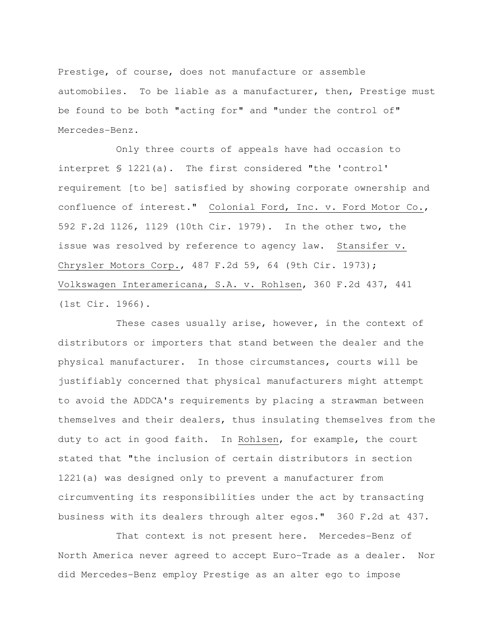Prestige, of course, does not manufacture or assemble automobiles. To be liable as a manufacturer, then, Prestige must be found to be both "acting for" and "under the control of" Mercedes-Benz.

 Only three courts of appeals have had occasion to interpret § 1221(a). The first considered "the 'control' requirement [to be] satisfied by showing corporate ownership and confluence of interest." Colonial Ford, Inc. v. Ford Motor Co., 592 F.2d 1126, 1129 (10th Cir. 1979). In the other two, the issue was resolved by reference to agency law. Stansifer v. Chrysler Motors Corp., 487 F.2d 59, 64 (9th Cir. 1973); Volkswagen Interamericana, S.A. v. Rohlsen, 360 F.2d 437, 441 (1st Cir. 1966).

 These cases usually arise, however, in the context of distributors or importers that stand between the dealer and the physical manufacturer. In those circumstances, courts will be justifiably concerned that physical manufacturers might attempt to avoid the ADDCA's requirements by placing a strawman between themselves and their dealers, thus insulating themselves from the duty to act in good faith. In Rohlsen, for example, the court stated that "the inclusion of certain distributors in section 1221(a) was designed only to prevent a manufacturer from circumventing its responsibilities under the act by transacting business with its dealers through alter egos." 360 F.2d at 437.

 That context is not present here. Mercedes-Benz of North America never agreed to accept Euro-Trade as a dealer. Nor did Mercedes-Benz employ Prestige as an alter ego to impose